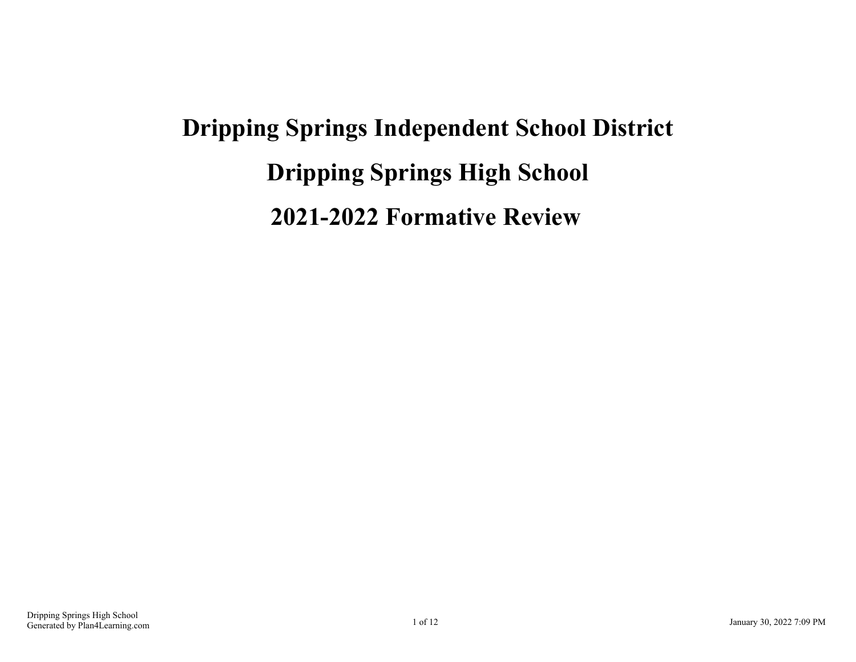# **Dripping Springs Independent School District Dripping Springs High School 2021-2022 Formative Review**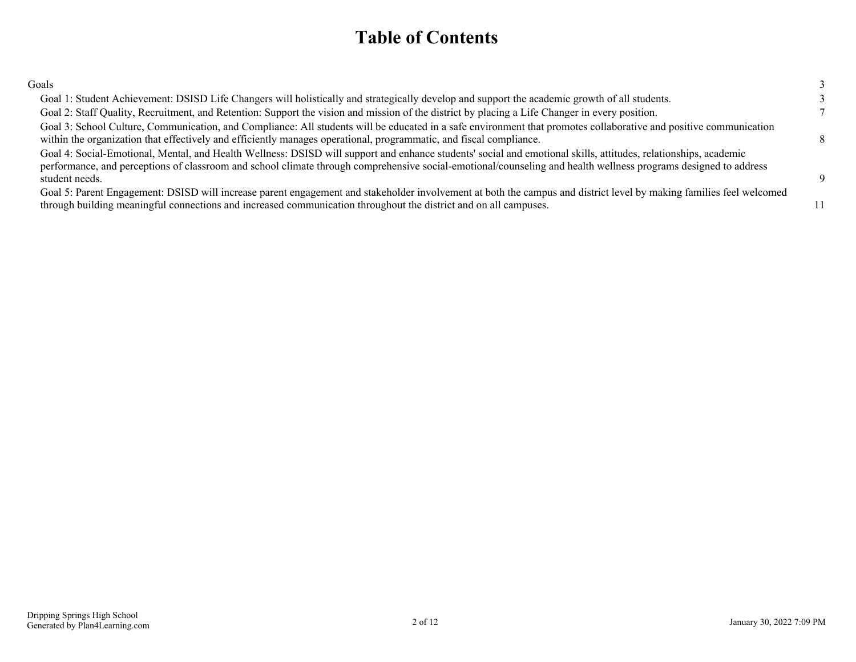### **Table of Contents**

| Goals                                                                                                                                                                                                                                                                                                                                                |          |
|------------------------------------------------------------------------------------------------------------------------------------------------------------------------------------------------------------------------------------------------------------------------------------------------------------------------------------------------------|----------|
| Goal 1: Student Achievement: DSISD Life Changers will holistically and strategically develop and support the academic growth of all students.                                                                                                                                                                                                        |          |
| Goal 2: Staff Quality, Recruitment, and Retention: Support the vision and mission of the district by placing a Life Changer in every position.                                                                                                                                                                                                       |          |
| Goal 3: School Culture, Communication, and Compliance: All students will be educated in a safe environment that promotes collaborative and positive communication<br>within the organization that effectively and efficiently manages operational, programmatic, and fiscal compliance.                                                              |          |
| Goal 4: Social-Emotional, Mental, and Health Wellness: DSISD will support and enhance students' social and emotional skills, attitudes, relationships, academic<br>performance, and perceptions of classroom and school climate through comprehensive social-emotional/counseling and health wellness programs designed to address<br>student needs. | <b>Q</b> |
| Goal 5: Parent Engagement: DSISD will increase parent engagement and stakeholder involvement at both the campus and district level by making families feel welcomed<br>through building meaningful connections and increased communication throughout the district and on all campuses.                                                              | 11       |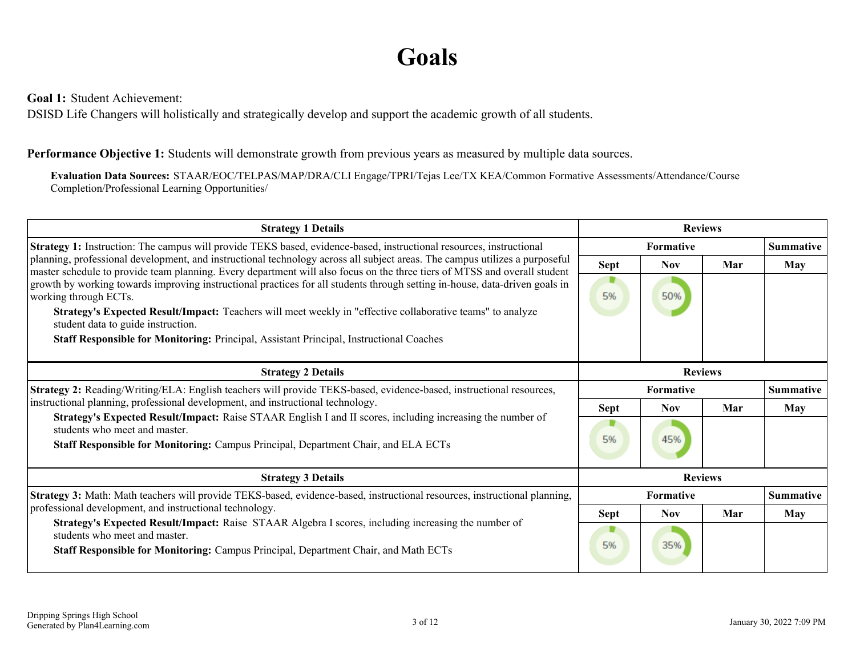## **Goals**

<span id="page-2-0"></span>**Goal 1:** Student Achievement:

DSISD Life Changers will holistically and strategically develop and support the academic growth of all students.

### **Performance Objective 1:** Students will demonstrate growth from previous years as measured by multiple data sources.

**Evaluation Data Sources:** STAAR/EOC/TELPAS/MAP/DRA/CLI Engage/TPRI/Tejas Lee/TX KEA/Common Formative Assessments/Attendance/Course Completion/Professional Learning Opportunities/

| <b>Strategy 1 Details</b>                                                                                                                                                                                                                                |             |                  | <b>Reviews</b> |                  |
|----------------------------------------------------------------------------------------------------------------------------------------------------------------------------------------------------------------------------------------------------------|-------------|------------------|----------------|------------------|
| Strategy 1: Instruction: The campus will provide TEKS based, evidence-based, instructional resources, instructional                                                                                                                                      |             | Formative        |                | <b>Summative</b> |
| planning, professional development, and instructional technology across all subject areas. The campus utilizes a purposeful<br>master schedule to provide team planning. Every department will also focus on the three tiers of MTSS and overall student | Sept        | <b>Nov</b>       | Mar            | May              |
| growth by working towards improving instructional practices for all students through setting in-house, data-driven goals in<br>working through ECTs.                                                                                                     | 5%          | 50%              |                |                  |
| Strategy's Expected Result/Impact: Teachers will meet weekly in "effective collaborative teams" to analyze<br>student data to guide instruction.                                                                                                         |             |                  |                |                  |
| Staff Responsible for Monitoring: Principal, Assistant Principal, Instructional Coaches                                                                                                                                                                  |             |                  |                |                  |
| <b>Strategy 2 Details</b>                                                                                                                                                                                                                                |             |                  | <b>Reviews</b> |                  |
| Strategy 2: Reading/Writing/ELA: English teachers will provide TEKS-based, evidence-based, instructional resources,                                                                                                                                      |             | <b>Formative</b> |                | <b>Summative</b> |
| instructional planning, professional development, and instructional technology.                                                                                                                                                                          | <b>Sept</b> | <b>Nov</b>       | Mar            | May              |
| Strategy's Expected Result/Impact: Raise STAAR English I and II scores, including increasing the number of<br>students who meet and master.<br>Staff Responsible for Monitoring: Campus Principal, Department Chair, and ELA ECTs                        | ▼<br>5%     | 45%              |                |                  |
| <b>Strategy 3 Details</b>                                                                                                                                                                                                                                |             |                  | <b>Reviews</b> |                  |
| Strategy 3: Math: Math teachers will provide TEKS-based, evidence-based, instructional resources, instructional planning,                                                                                                                                |             | <b>Formative</b> |                | <b>Summative</b> |
| professional development, and instructional technology.                                                                                                                                                                                                  | Sept        | <b>Nov</b>       | Mar            | May              |
| Strategy's Expected Result/Impact: Raise STAAR Algebra I scores, including increasing the number of<br>students who meet and master.<br>Staff Responsible for Monitoring: Campus Principal, Department Chair, and Math ECTs                              | ▼<br>5%     | 35%              |                |                  |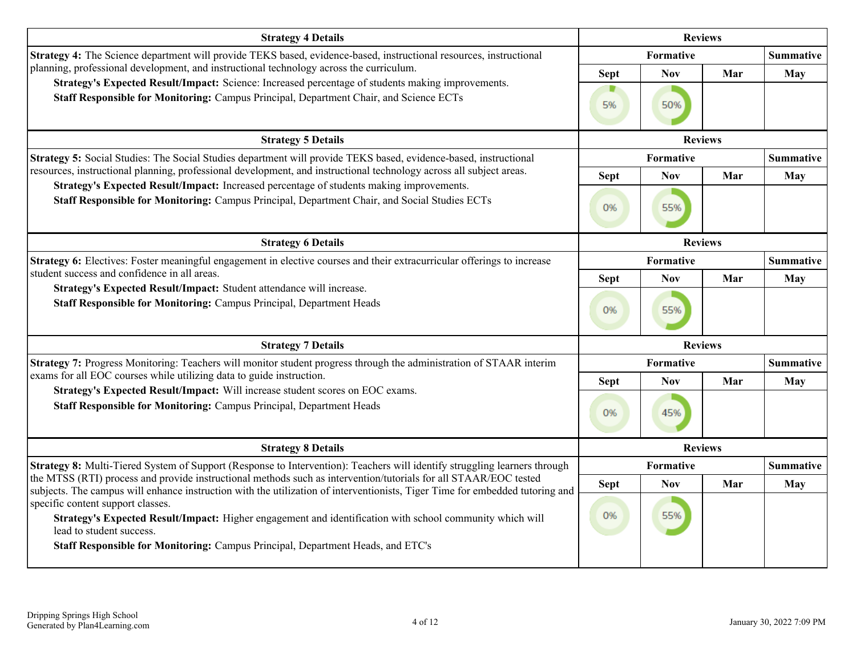| <b>Strategy 4 Details</b>                                                                                                                                                                                                                                                              |                   |                   | <b>Reviews</b> |                  |
|----------------------------------------------------------------------------------------------------------------------------------------------------------------------------------------------------------------------------------------------------------------------------------------|-------------------|-------------------|----------------|------------------|
| Strategy 4: The Science department will provide TEKS based, evidence-based, instructional resources, instructional                                                                                                                                                                     |                   | Formative         |                | <b>Summative</b> |
| planning, professional development, and instructional technology across the curriculum.<br>Strategy's Expected Result/Impact: Science: Increased percentage of students making improvements.<br>Staff Responsible for Monitoring: Campus Principal, Department Chair, and Science ECTs | <b>Sept</b><br>5% | <b>Nov</b><br>50% | Mar            | May              |
| <b>Strategy 5 Details</b>                                                                                                                                                                                                                                                              |                   |                   | <b>Reviews</b> |                  |
| Strategy 5: Social Studies: The Social Studies department will provide TEKS based, evidence-based, instructional                                                                                                                                                                       |                   | Formative         |                | Summative        |
| resources, instructional planning, professional development, and instructional technology across all subject areas.                                                                                                                                                                    | <b>Sept</b>       | <b>Nov</b>        | Mar            | May              |
| Strategy's Expected Result/Impact: Increased percentage of students making improvements.<br>Staff Responsible for Monitoring: Campus Principal, Department Chair, and Social Studies ECTs                                                                                              | 0%                | 55%               |                |                  |
| <b>Strategy 6 Details</b>                                                                                                                                                                                                                                                              |                   |                   | <b>Reviews</b> |                  |
| Strategy 6: Electives: Foster meaningful engagement in elective courses and their extracurricular offerings to increase                                                                                                                                                                |                   | Formative         |                | <b>Summative</b> |
| student success and confidence in all areas.<br>Strategy's Expected Result/Impact: Student attendance will increase.                                                                                                                                                                   | <b>Sept</b>       | <b>Nov</b>        | Mar            | <b>May</b>       |
| Staff Responsible for Monitoring: Campus Principal, Department Heads                                                                                                                                                                                                                   | 0%                | 55%               |                |                  |
| <b>Strategy 7 Details</b>                                                                                                                                                                                                                                                              |                   |                   | <b>Reviews</b> |                  |
| Strategy 7: Progress Monitoring: Teachers will monitor student progress through the administration of STAAR interim                                                                                                                                                                    |                   | <b>Formative</b>  |                | <b>Summative</b> |
| exams for all EOC courses while utilizing data to guide instruction.<br>Strategy's Expected Result/Impact: Will increase student scores on EOC exams.                                                                                                                                  | <b>Sept</b>       | <b>Nov</b>        | Mar            | <b>May</b>       |
| Staff Responsible for Monitoring: Campus Principal, Department Heads                                                                                                                                                                                                                   | 0%                | 45%               |                |                  |
| <b>Strategy 8 Details</b>                                                                                                                                                                                                                                                              |                   |                   | <b>Reviews</b> |                  |
| Strategy 8: Multi-Tiered System of Support (Response to Intervention): Teachers will identify struggling learners through                                                                                                                                                              |                   | Formative         |                | <b>Summative</b> |
| the MTSS (RTI) process and provide instructional methods such as intervention/tutorials for all STAAR/EOC tested<br>subjects. The campus will enhance instruction with the utilization of interventionists, Tiger Time for embedded tutoring and                                       | <b>Sept</b>       | <b>Nov</b>        | Mar            | <b>May</b>       |
| specific content support classes.<br>Strategy's Expected Result/Impact: Higher engagement and identification with school community which will<br>lead to student success.<br>Staff Responsible for Monitoring: Campus Principal, Department Heads, and ETC's                           | 0%                | 55%               |                |                  |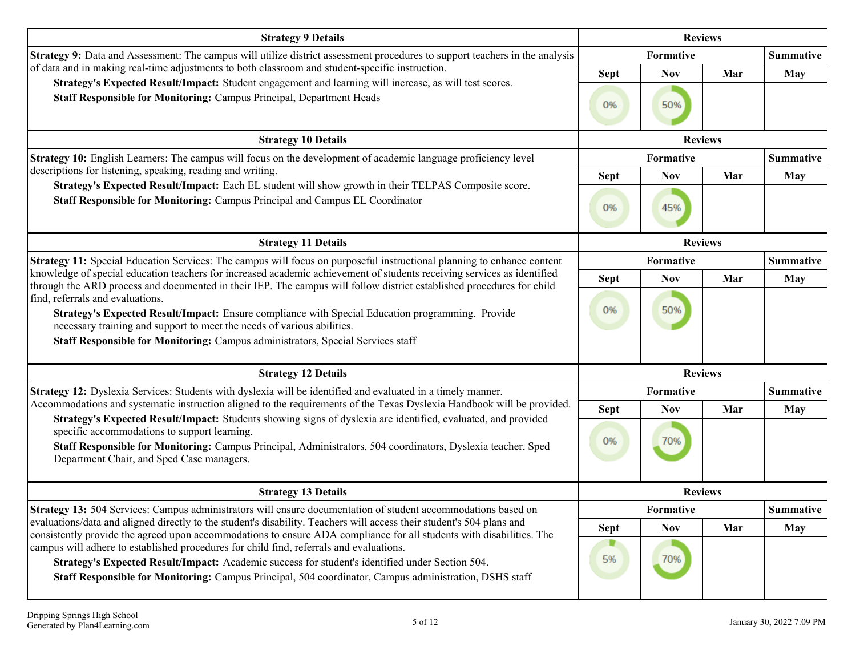| <b>Strategy 9 Details</b>                                                                                                                                                                                                                                                                                                  |             |                  | <b>Reviews</b> |                  |
|----------------------------------------------------------------------------------------------------------------------------------------------------------------------------------------------------------------------------------------------------------------------------------------------------------------------------|-------------|------------------|----------------|------------------|
| Strategy 9: Data and Assessment: The campus will utilize district assessment procedures to support teachers in the analysis                                                                                                                                                                                                |             | Formative        |                | <b>Summative</b> |
| of data and in making real-time adjustments to both classroom and student-specific instruction.                                                                                                                                                                                                                            | <b>Sept</b> | <b>Nov</b>       | Mar            | <b>May</b>       |
| Strategy's Expected Result/Impact: Student engagement and learning will increase, as will test scores.<br>Staff Responsible for Monitoring: Campus Principal, Department Heads                                                                                                                                             | 0%          | 50%              |                |                  |
| <b>Strategy 10 Details</b>                                                                                                                                                                                                                                                                                                 |             | <b>Reviews</b>   |                |                  |
| <b>Strategy 10:</b> English Learners: The campus will focus on the development of academic language proficiency level                                                                                                                                                                                                      |             | Formative        |                | <b>Summative</b> |
| descriptions for listening, speaking, reading and writing.                                                                                                                                                                                                                                                                 | <b>Sept</b> | <b>Nov</b>       | Mar            | <b>May</b>       |
| Strategy's Expected Result/Impact: Each EL student will show growth in their TELPAS Composite score.<br>Staff Responsible for Monitoring: Campus Principal and Campus EL Coordinator                                                                                                                                       | 0%          | 45%              |                |                  |
| <b>Strategy 11 Details</b>                                                                                                                                                                                                                                                                                                 |             | <b>Reviews</b>   |                |                  |
| Strategy 11: Special Education Services: The campus will focus on purposeful instructional planning to enhance content                                                                                                                                                                                                     |             | Formative        |                | <b>Summative</b> |
| knowledge of special education teachers for increased academic achievement of students receiving services as identified<br>through the ARD process and documented in their IEP. The campus will follow district established procedures for child                                                                           | <b>Sept</b> | <b>Nov</b>       | Mar            | May              |
| find, referrals and evaluations.<br>Strategy's Expected Result/Impact: Ensure compliance with Special Education programming. Provide<br>necessary training and support to meet the needs of various abilities.<br>Staff Responsible for Monitoring: Campus administrators, Special Services staff                          | 0%          | 50%              |                |                  |
| <b>Strategy 12 Details</b>                                                                                                                                                                                                                                                                                                 |             | <b>Reviews</b>   |                |                  |
| Strategy 12: Dyslexia Services: Students with dyslexia will be identified and evaluated in a timely manner.                                                                                                                                                                                                                |             | Formative        |                | <b>Summative</b> |
| Accommodations and systematic instruction aligned to the requirements of the Texas Dyslexia Handbook will be provided.                                                                                                                                                                                                     | <b>Sept</b> | <b>Nov</b>       | Mar            | <b>May</b>       |
| Strategy's Expected Result/Impact: Students showing signs of dyslexia are identified, evaluated, and provided<br>specific accommodations to support learning.<br>Staff Responsible for Monitoring: Campus Principal, Administrators, 504 coordinators, Dyslexia teacher, Sped<br>Department Chair, and Sped Case managers. | 0%          | 70%              |                |                  |
| <b>Strategy 13 Details</b>                                                                                                                                                                                                                                                                                                 |             | <b>Reviews</b>   |                |                  |
| <b>Strategy 13:</b> 504 Services: Campus administrators will ensure documentation of student accommodations based on                                                                                                                                                                                                       |             | <b>Formative</b> |                | Summative        |
| evaluations/data and aligned directly to the student's disability. Teachers will access their student's 504 plans and<br>consistently provide the agreed upon accommodations to ensure ADA compliance for all students with disabilities. The                                                                              | Sept        | <b>Nov</b>       | Mar            | <b>May</b>       |
| campus will adhere to established procedures for child find, referrals and evaluations.<br>Strategy's Expected Result/Impact: Academic success for student's identified under Section 504.<br>Staff Responsible for Monitoring: Campus Principal, 504 coordinator, Campus administration, DSHS staff                       | 5%          | 70%              |                |                  |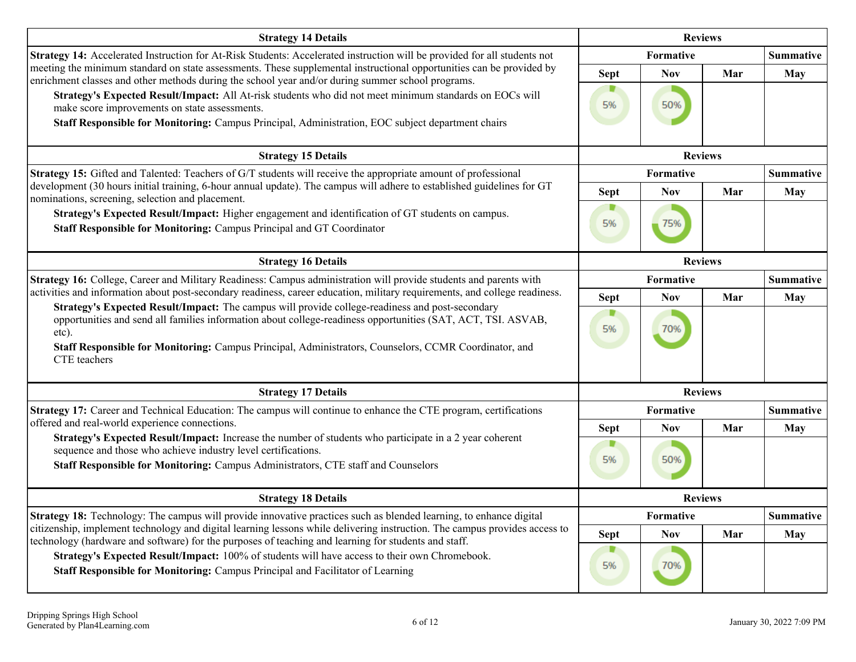| <b>Strategy 14 Details</b>                                                                                                                                                                                                                     |             | <b>Reviews</b>   |     |                  |
|------------------------------------------------------------------------------------------------------------------------------------------------------------------------------------------------------------------------------------------------|-------------|------------------|-----|------------------|
| Strategy 14: Accelerated Instruction for At-Risk Students: Accelerated instruction will be provided for all students not                                                                                                                       |             | <b>Formative</b> |     | <b>Summative</b> |
| meeting the minimum standard on state assessments. These supplemental instructional opportunities can be provided by<br>enrichment classes and other methods during the school year and/or during summer school programs.                      | <b>Sept</b> | <b>Nov</b>       | Mar | <b>May</b>       |
| Strategy's Expected Result/Impact: All At-risk students who did not meet minimum standards on EOCs will<br>make score improvements on state assessments.                                                                                       | 5%          | 50%              |     |                  |
| Staff Responsible for Monitoring: Campus Principal, Administration, EOC subject department chairs                                                                                                                                              |             |                  |     |                  |
| <b>Strategy 15 Details</b>                                                                                                                                                                                                                     |             | <b>Reviews</b>   |     |                  |
| Strategy 15: Gifted and Talented: Teachers of G/T students will receive the appropriate amount of professional                                                                                                                                 |             | Formative        |     | <b>Summative</b> |
| development (30 hours initial training, 6-hour annual update). The campus will adhere to established guidelines for GT<br>nominations, screening, selection and placement.                                                                     | <b>Sept</b> | <b>Nov</b>       | Mar | May              |
| Strategy's Expected Result/Impact: Higher engagement and identification of GT students on campus.<br>Staff Responsible for Monitoring: Campus Principal and GT Coordinator                                                                     | D<br>5%     | 75%              |     |                  |
| <b>Strategy 16 Details</b>                                                                                                                                                                                                                     |             | <b>Reviews</b>   |     |                  |
| Strategy 16: College, Career and Military Readiness: Campus administration will provide students and parents with                                                                                                                              |             | Formative        |     | <b>Summative</b> |
| activities and information about post-secondary readiness, career education, military requirements, and college readiness.<br>Strategy's Expected Result/Impact: The campus will provide college-readiness and post-secondary                  | <b>Sept</b> | <b>Nov</b>       | Mar | <b>May</b>       |
| opportunities and send all families information about college-readiness opportunities (SAT, ACT, TSI. ASVAB,<br>etc).<br>Staff Responsible for Monitoring: Campus Principal, Administrators, Counselors, CCMR Coordinator, and<br>CTE teachers | D<br>5%     | 70%              |     |                  |
| <b>Strategy 17 Details</b>                                                                                                                                                                                                                     |             | <b>Reviews</b>   |     |                  |
| Strategy 17: Career and Technical Education: The campus will continue to enhance the CTE program, certifications                                                                                                                               |             | Formative        |     | <b>Summative</b> |
| offered and real-world experience connections.<br>Strategy's Expected Result/Impact: Increase the number of students who participate in a 2 year coherent                                                                                      | <b>Sept</b> | <b>Nov</b>       | Mar | <b>May</b>       |
| sequence and those who achieve industry level certifications.<br>Staff Responsible for Monitoring: Campus Administrators, CTE staff and Counselors                                                                                             | 5%          | 50%              |     |                  |
| <b>Strategy 18 Details</b>                                                                                                                                                                                                                     |             | <b>Reviews</b>   |     |                  |
| <b>Strategy 18:</b> Technology: The campus will provide innovative practices such as blended learning, to enhance digital                                                                                                                      |             | Formative        |     | <b>Summative</b> |
| citizenship, implement technology and digital learning lessons while delivering instruction. The campus provides access to<br>technology (hardware and software) for the purposes of teaching and learning for students and staff.             | <b>Sept</b> | <b>Nov</b>       | Mar | <b>May</b>       |
| Strategy's Expected Result/Impact: 100% of students will have access to their own Chromebook.<br>Staff Responsible for Monitoring: Campus Principal and Facilitator of Learning                                                                | 5%          | 70%              |     |                  |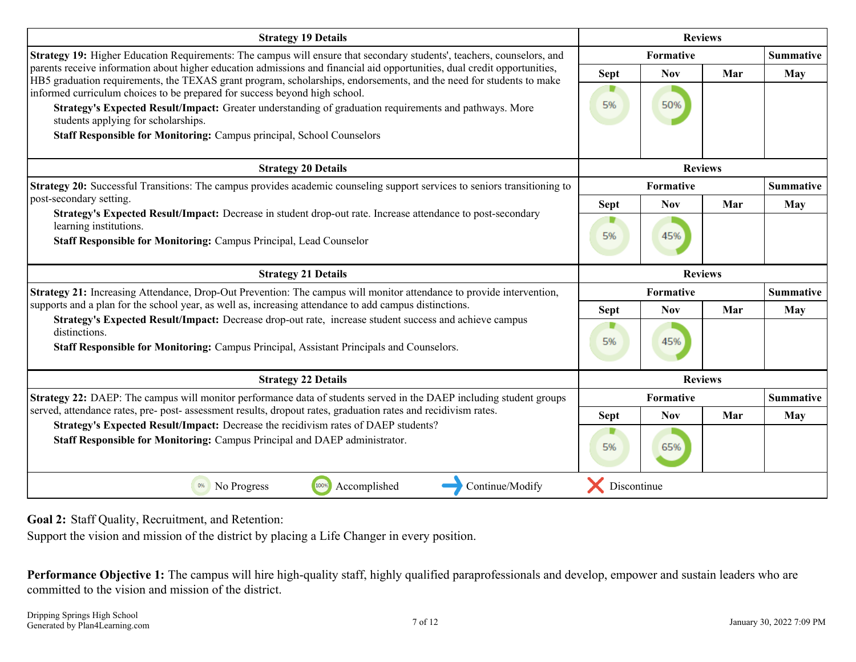<span id="page-6-0"></span>

| <b>Strategy 19 Details</b>                                                                                                                                                                                                                       |             | <b>Reviews</b>   |     |                  |
|--------------------------------------------------------------------------------------------------------------------------------------------------------------------------------------------------------------------------------------------------|-------------|------------------|-----|------------------|
| <b>Strategy 19:</b> Higher Education Requirements: The campus will ensure that secondary students', teachers, counselors, and                                                                                                                    |             | Formative        |     | <b>Summative</b> |
| parents receive information about higher education admissions and financial aid opportunities, dual credit opportunities,<br>HB5 graduation requirements, the TEXAS grant program, scholarships, endorsements, and the need for students to make | <b>Sept</b> | <b>Nov</b>       | Mar | May              |
| informed curriculum choices to be prepared for success beyond high school.<br>Strategy's Expected Result/Impact: Greater understanding of graduation requirements and pathways. More<br>students applying for scholarships.                      | 5%          | 50%              |     |                  |
| Staff Responsible for Monitoring: Campus principal, School Counselors                                                                                                                                                                            |             |                  |     |                  |
| <b>Strategy 20 Details</b>                                                                                                                                                                                                                       |             | <b>Reviews</b>   |     |                  |
| Strategy 20: Successful Transitions: The campus provides academic counseling support services to seniors transitioning to                                                                                                                        |             | <b>Formative</b> |     | <b>Summative</b> |
| post-secondary setting.<br>Strategy's Expected Result/Impact: Decrease in student drop-out rate. Increase attendance to post-secondary                                                                                                           | <b>Sept</b> | <b>Nov</b>       | Mar | May              |
| learning institutions.                                                                                                                                                                                                                           |             |                  |     |                  |
| Staff Responsible for Monitoring: Campus Principal, Lead Counselor                                                                                                                                                                               | 5%          | 45%              |     |                  |
| <b>Strategy 21 Details</b>                                                                                                                                                                                                                       |             | <b>Reviews</b>   |     |                  |
| Strategy 21: Increasing Attendance, Drop-Out Prevention: The campus will monitor attendance to provide intervention,                                                                                                                             |             | <b>Formative</b> |     | <b>Summative</b> |
| supports and a plan for the school year, as well as, increasing attendance to add campus distinctions.                                                                                                                                           | <b>Sept</b> | <b>Nov</b>       | Mar | May              |
| Strategy's Expected Result/Impact: Decrease drop-out rate, increase student success and achieve campus<br>distinctions.                                                                                                                          |             |                  |     |                  |
| <b>Staff Responsible for Monitoring: Campus Principal, Assistant Principals and Counselors.</b>                                                                                                                                                  | 5%          | 45%              |     |                  |
| <b>Strategy 22 Details</b>                                                                                                                                                                                                                       |             | <b>Reviews</b>   |     |                  |
| Strategy 22: DAEP: The campus will monitor performance data of students served in the DAEP including student groups                                                                                                                              |             | Formative        |     | <b>Summative</b> |
| served, attendance rates, pre- post- assessment results, dropout rates, graduation rates and recidivism rates.                                                                                                                                   | <b>Sept</b> | <b>Nov</b>       | Mar | May              |
| Strategy's Expected Result/Impact: Decrease the recidivism rates of DAEP students?<br>Staff Responsible for Monitoring: Campus Principal and DAEP administrator.                                                                                 | 5%          | 65%              |     |                  |
|                                                                                                                                                                                                                                                  |             |                  |     |                  |

**Goal 2:** Staff Quality, Recruitment, and Retention:

Support the vision and mission of the district by placing a Life Changer in every position.

**Performance Objective 1:** The campus will hire high-quality staff, highly qualified paraprofessionals and develop, empower and sustain leaders who are committed to the vision and mission of the district.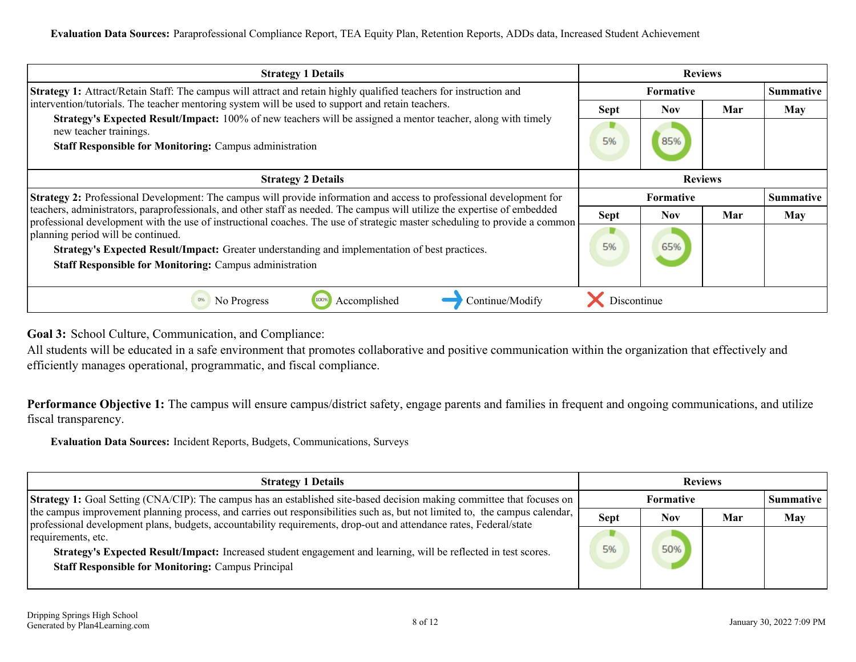<span id="page-7-0"></span>

| <b>Strategy 1 Details</b>                                                                                                                                                                                                                               |             | <b>Reviews</b>   |     |                  |
|---------------------------------------------------------------------------------------------------------------------------------------------------------------------------------------------------------------------------------------------------------|-------------|------------------|-----|------------------|
| <b>Strategy 1:</b> Attract/Retain Staff: The campus will attract and retain highly qualified teachers for instruction and                                                                                                                               |             | <b>Formative</b> |     | <b>Summative</b> |
| intervention/tutorials. The teacher mentoring system will be used to support and retain teachers.                                                                                                                                                       | <b>Sept</b> | <b>Nov</b>       | Mar | <b>May</b>       |
| <b>Strategy's Expected Result/Impact:</b> 100% of new teachers will be assigned a mentor teacher, along with timely<br>new teacher trainings.<br><b>Staff Responsible for Monitoring: Campus administration</b>                                         | 5%          | 85%              |     |                  |
| <b>Strategy 2 Details</b>                                                                                                                                                                                                                               |             | <b>Reviews</b>   |     |                  |
| <b>Strategy 2:</b> Professional Development: The campus will provide information and access to professional development for                                                                                                                             |             | <b>Formative</b> |     |                  |
| teachers, administrators, paraprofessionals, and other staff as needed. The campus will utilize the expertise of embedded<br>professional development with the use of instructional coaches. The use of strategic master scheduling to provide a common | <b>Sept</b> | <b>Nov</b>       | Mar | <b>May</b>       |
| planning period will be continued.<br>Strategy's Expected Result/Impact: Greater understanding and implementation of best practices.<br><b>Staff Responsible for Monitoring: Campus administration</b>                                                  | 5%          | 65%              |     |                  |
| Continue/Modify<br>No Progress<br>100%<br>Accomplished                                                                                                                                                                                                  | Discontinue |                  |     |                  |

**Goal 3:** School Culture, Communication, and Compliance:

All students will be educated in a safe environment that promotes collaborative and positive communication within the organization that effectively and efficiently manages operational, programmatic, and fiscal compliance.

Performance Objective 1: The campus will ensure campus/district safety, engage parents and families in frequent and ongoing communications, and utilize fiscal transparency.

**Evaluation Data Sources:** Incident Reports, Budgets, Communications, Surveys

| <b>Strategy 1 Details</b>                                                                                                                                                                                                                         |             |                  | <b>Reviews</b> |                  |
|---------------------------------------------------------------------------------------------------------------------------------------------------------------------------------------------------------------------------------------------------|-------------|------------------|----------------|------------------|
| <b>Strategy 1:</b> Goal Setting (CNA/CIP): The campus has an established site-based decision making committee that focuses on                                                                                                                     |             | <b>Formative</b> |                | <b>Summative</b> |
| the campus improvement planning process, and carries out responsibilities such as, but not limited to, the campus calendar,<br>professional development plans, budgets, accountability requirements, drop-out and attendance rates, Federal/state | <b>Sept</b> | <b>Nov</b>       | Mar            | <b>May</b>       |
| requirements, etc.                                                                                                                                                                                                                                |             |                  |                |                  |
| Strategy's Expected Result/Impact: Increased student engagement and learning, will be reflected in test scores.                                                                                                                                   | 5%          | 50%              |                |                  |
| <b>Staff Responsible for Monitoring: Campus Principal</b>                                                                                                                                                                                         |             |                  |                |                  |
|                                                                                                                                                                                                                                                   |             |                  |                |                  |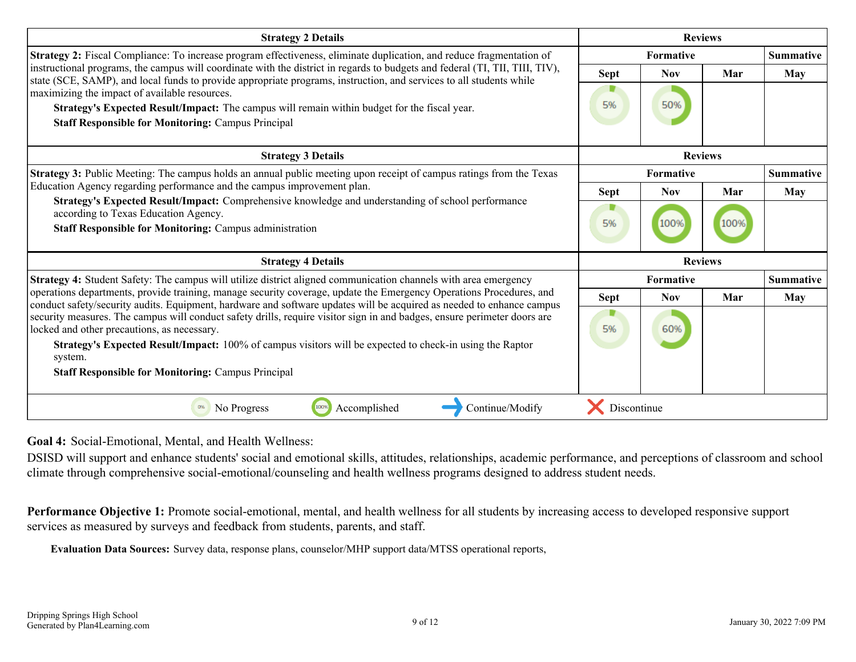<span id="page-8-0"></span>

| <b>Strategy 2 Details</b>                                                                                                                                                                                                                                                                             |             |                | <b>Reviews</b> |                  |
|-------------------------------------------------------------------------------------------------------------------------------------------------------------------------------------------------------------------------------------------------------------------------------------------------------|-------------|----------------|----------------|------------------|
| Strategy 2: Fiscal Compliance: To increase program effectiveness, eliminate duplication, and reduce fragmentation of                                                                                                                                                                                  |             | Formative      |                | <b>Summative</b> |
| instructional programs, the campus will coordinate with the district in regards to budgets and federal (TI, TII, TIII, TIV),<br>state (SCE, SAMP), and local funds to provide appropriate programs, instruction, and services to all students while                                                   | Sept        | <b>Nov</b>     | Mar            | May              |
| maximizing the impact of available resources.<br>Strategy's Expected Result/Impact: The campus will remain within budget for the fiscal year.<br><b>Staff Responsible for Monitoring: Campus Principal</b>                                                                                            | 5%          | 50%            |                |                  |
| <b>Strategy 3 Details</b>                                                                                                                                                                                                                                                                             |             |                | <b>Reviews</b> |                  |
| Strategy 3: Public Meeting: The campus holds an annual public meeting upon receipt of campus ratings from the Texas                                                                                                                                                                                   |             | Formative      |                | <b>Summative</b> |
| Education Agency regarding performance and the campus improvement plan.                                                                                                                                                                                                                               | Sept        | <b>Nov</b>     | Mar            | May              |
| Strategy's Expected Result/Impact: Comprehensive knowledge and understanding of school performance<br>according to Texas Education Agency.<br><b>Staff Responsible for Monitoring: Campus administration</b>                                                                                          | 5%          | 100%           | 100%           |                  |
| <b>Strategy 4 Details</b>                                                                                                                                                                                                                                                                             |             | <b>Reviews</b> |                |                  |
| Strategy 4: Student Safety: The campus will utilize district aligned communication channels with area emergency                                                                                                                                                                                       |             | Formative      |                | <b>Summative</b> |
| operations departments, provide training, manage security coverage, update the Emergency Operations Procedures, and<br>conduct safety/security audits. Equipment, hardware and software updates will be acquired as needed to enhance campus                                                          | Sept        | <b>Nov</b>     | Mar            | May              |
| security measures. The campus will conduct safety drills, require visitor sign in and badges, ensure perimeter doors are<br>locked and other precautions, as necessary.<br><b>Strategy's Expected Result/Impact:</b> 100% of campus visitors will be expected to check-in using the Raptor<br>system. | ₽<br>5%     | 60%            |                |                  |
| <b>Staff Responsible for Monitoring: Campus Principal</b>                                                                                                                                                                                                                                             |             |                |                |                  |
| 100%<br>No Progress<br>Accomplished<br>Continue/Modify<br>0%                                                                                                                                                                                                                                          | Discontinue |                |                |                  |

**Goal 4:** Social-Emotional, Mental, and Health Wellness:

DSISD will support and enhance students' social and emotional skills, attitudes, relationships, academic performance, and perceptions of classroom and school climate through comprehensive social-emotional/counseling and health wellness programs designed to address student needs.

**Performance Objective 1:** Promote social-emotional, mental, and health wellness for all students by increasing access to developed responsive support services as measured by surveys and feedback from students, parents, and staff.

**Evaluation Data Sources:** Survey data, response plans, counselor/MHP support data/MTSS operational reports,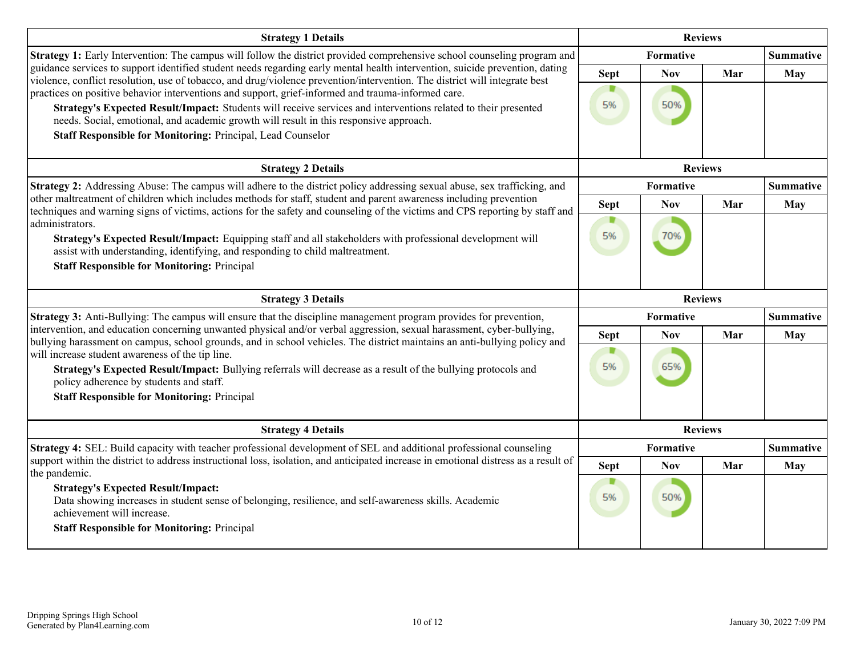| <b>Strategy 1 Details</b>                                                                                                                                                                                                                                                                                                                                                                                                                                                                                                                                                                                                                   |                        |                   | <b>Reviews</b> |                  |
|---------------------------------------------------------------------------------------------------------------------------------------------------------------------------------------------------------------------------------------------------------------------------------------------------------------------------------------------------------------------------------------------------------------------------------------------------------------------------------------------------------------------------------------------------------------------------------------------------------------------------------------------|------------------------|-------------------|----------------|------------------|
| <b>Strategy 1:</b> Early Intervention: The campus will follow the district provided comprehensive school counseling program and                                                                                                                                                                                                                                                                                                                                                                                                                                                                                                             |                        | Formative         |                | <b>Summative</b> |
| guidance services to support identified student needs regarding early mental health intervention, suicide prevention, dating<br>violence, conflict resolution, use of tobacco, and drug/violence prevention/intervention. The district will integrate best<br>practices on positive behavior interventions and support, grief-informed and trauma-informed care.<br>Strategy's Expected Result/Impact: Students will receive services and interventions related to their presented<br>needs. Social, emotional, and academic growth will result in this responsive approach.<br>Staff Responsible for Monitoring: Principal, Lead Counselor | <b>Sept</b><br>5%      | <b>Nov</b><br>50% | Mar            | <b>May</b>       |
| <b>Strategy 2 Details</b>                                                                                                                                                                                                                                                                                                                                                                                                                                                                                                                                                                                                                   |                        |                   | <b>Reviews</b> |                  |
| Strategy 2: Addressing Abuse: The campus will adhere to the district policy addressing sexual abuse, sex trafficking, and                                                                                                                                                                                                                                                                                                                                                                                                                                                                                                                   |                        | Formative         |                | <b>Summative</b> |
| other maltreatment of children which includes methods for staff, student and parent awareness including prevention<br>techniques and warning signs of victims, actions for the safety and counseling of the victims and CPS reporting by staff and                                                                                                                                                                                                                                                                                                                                                                                          | <b>Sept</b>            | <b>Nov</b>        | Mar            | May              |
| administrators.<br>Strategy's Expected Result/Impact: Equipping staff and all stakeholders with professional development will<br>assist with understanding, identifying, and responding to child maltreatment.<br><b>Staff Responsible for Monitoring: Principal</b>                                                                                                                                                                                                                                                                                                                                                                        | D<br>5%                | 70%               |                |                  |
| <b>Strategy 3 Details</b>                                                                                                                                                                                                                                                                                                                                                                                                                                                                                                                                                                                                                   |                        |                   | <b>Reviews</b> |                  |
| Strategy 3: Anti-Bullying: The campus will ensure that the discipline management program provides for prevention,                                                                                                                                                                                                                                                                                                                                                                                                                                                                                                                           |                        | Formative         |                | <b>Summative</b> |
| intervention, and education concerning unwanted physical and/or verbal aggression, sexual harassment, cyber-bullying,<br>bullying harassment on campus, school grounds, and in school vehicles. The district maintains an anti-bullying policy and<br>will increase student awareness of the tip line.<br>Strategy's Expected Result/Impact: Bullying referrals will decrease as a result of the bullying protocols and<br>policy adherence by students and staff.                                                                                                                                                                          | <b>Sept</b><br>D<br>5% | <b>Nov</b><br>65% | Mar            | May              |
| <b>Staff Responsible for Monitoring: Principal</b>                                                                                                                                                                                                                                                                                                                                                                                                                                                                                                                                                                                          |                        |                   |                |                  |
| <b>Strategy 4 Details</b>                                                                                                                                                                                                                                                                                                                                                                                                                                                                                                                                                                                                                   |                        |                   | <b>Reviews</b> |                  |
| Strategy 4: SEL: Build capacity with teacher professional development of SEL and additional professional counseling                                                                                                                                                                                                                                                                                                                                                                                                                                                                                                                         |                        | Formative         |                | <b>Summative</b> |
| support within the district to address instructional loss, isolation, and anticipated increase in emotional distress as a result of<br>the pandemic.                                                                                                                                                                                                                                                                                                                                                                                                                                                                                        | <b>Sept</b>            | <b>Nov</b>        | Mar            | <b>May</b>       |
| <b>Strategy's Expected Result/Impact:</b><br>Data showing increases in student sense of belonging, resilience, and self-awareness skills. Academic<br>achievement will increase.<br><b>Staff Responsible for Monitoring: Principal</b>                                                                                                                                                                                                                                                                                                                                                                                                      | 5%                     | 50%               |                |                  |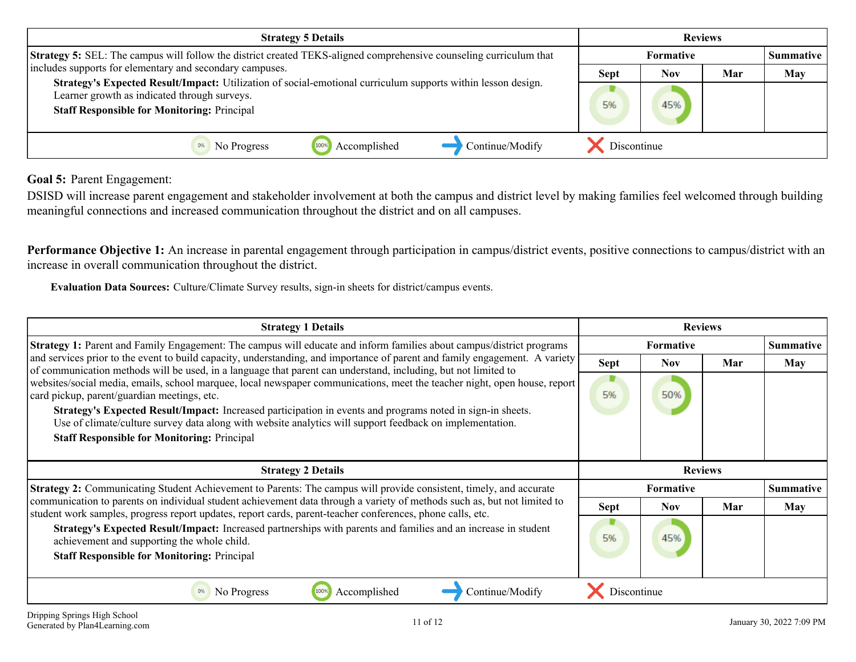<span id="page-10-0"></span>

| <b>Strategy 5 Details</b>                                                                                                                                                                                          |             |                  | <b>Reviews</b> |                  |
|--------------------------------------------------------------------------------------------------------------------------------------------------------------------------------------------------------------------|-------------|------------------|----------------|------------------|
| Strategy 5: SEL: The campus will follow the district created TEKS-aligned comprehensive counseling curriculum that                                                                                                 |             | <b>Formative</b> |                | <b>Summative</b> |
| includes supports for elementary and secondary campuses.                                                                                                                                                           | <b>Sept</b> | Nov              | Mar            | May              |
| Strategy's Expected Result/Impact: Utilization of social-emotional curriculum supports within lesson design.<br>Learner growth as indicated through surveys.<br><b>Staff Responsible for Monitoring: Principal</b> | 5%          | 45%              |                |                  |
| Continue/Modify<br>Accomplished<br>1009<br>No Progress                                                                                                                                                             | Discontinue |                  |                |                  |

**Goal 5:** Parent Engagement:

DSISD will increase parent engagement and stakeholder involvement at both the campus and district level by making families feel welcomed through building meaningful connections and increased communication throughout the district and on all campuses.

Performance Objective 1: An increase in parental engagement through participation in campus/district events, positive connections to campus/district with an increase in overall communication throughout the district.

**Evaluation Data Sources:** Culture/Climate Survey results, sign-in sheets for district/campus events.

| <b>Strategy 1 Details</b>                                                                                                                                                                                                                                                                                                                                                                                                                                |             | <b>Reviews</b>   |     |                  |
|----------------------------------------------------------------------------------------------------------------------------------------------------------------------------------------------------------------------------------------------------------------------------------------------------------------------------------------------------------------------------------------------------------------------------------------------------------|-------------|------------------|-----|------------------|
| <b>Strategy 1:</b> Parent and Family Engagement: The campus will educate and inform families about campus/district programs                                                                                                                                                                                                                                                                                                                              |             | <b>Formative</b> |     | <b>Summative</b> |
| and services prior to the event to build capacity, understanding, and importance of parent and family engagement. A variety<br>of communication methods will be used, in a language that parent can understand, including, but not limited to                                                                                                                                                                                                            | <b>Sept</b> | Nov.             | Mar | <b>May</b>       |
| websites/social media, emails, school marquee, local newspaper communications, meet the teacher night, open house, report<br>card pickup, parent/guardian meetings, etc.<br>Strategy's Expected Result/Impact: Increased participation in events and programs noted in sign-in sheets.<br>Use of climate/culture survey data along with website analytics will support feedback on implementation.<br><b>Staff Responsible for Monitoring: Principal</b> | ◾<br>5%     | 50%              |     |                  |
|                                                                                                                                                                                                                                                                                                                                                                                                                                                          |             |                  |     |                  |
| <b>Strategy 2 Details</b>                                                                                                                                                                                                                                                                                                                                                                                                                                |             | <b>Reviews</b>   |     |                  |
| <b>Strategy 2:</b> Communicating Student Achievement to Parents: The campus will provide consistent, timely, and accurate                                                                                                                                                                                                                                                                                                                                |             | <b>Formative</b> |     | <b>Summative</b> |
| communication to parents on individual student achievement data through a variety of methods such as, but not limited to                                                                                                                                                                                                                                                                                                                                 | <b>Sept</b> | <b>Nov</b>       | Mar | May              |
| student work samples, progress report updates, report cards, parent-teacher conferences, phone calls, etc.<br>Strategy's Expected Result/Impact: Increased partnerships with parents and families and an increase in student<br>achievement and supporting the whole child.<br><b>Staff Responsible for Monitoring: Principal</b>                                                                                                                        | ▼<br>5%     | 45%              |     |                  |